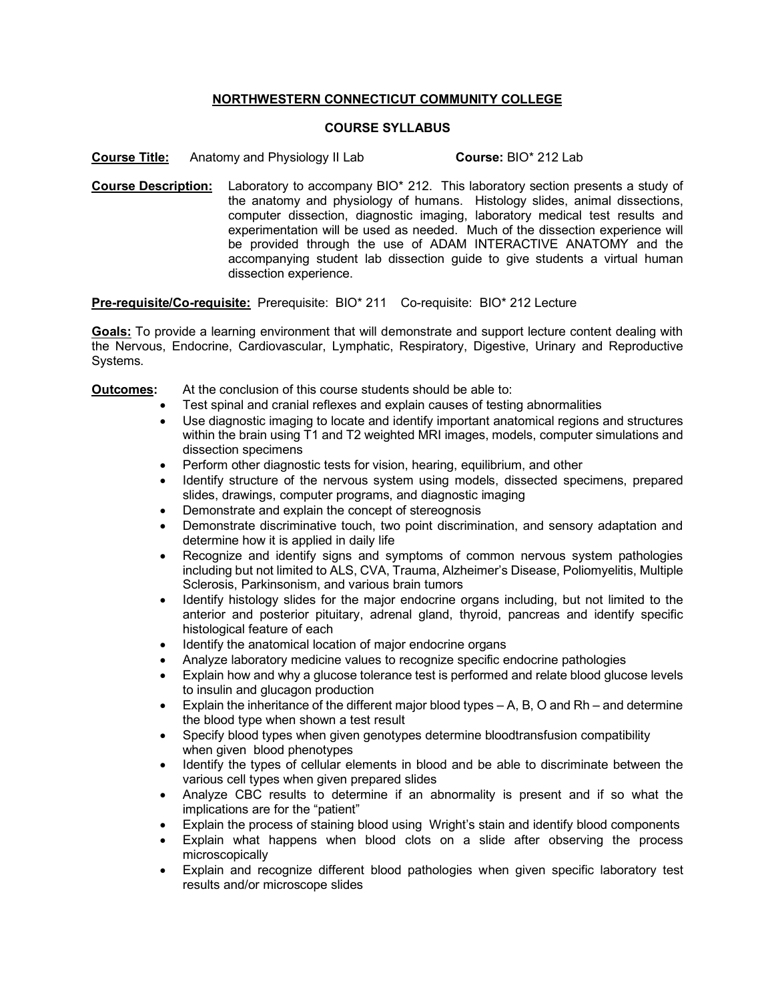## **NORTHWESTERN CONNECTICUT COMMUNITY COLLEGE**

## **COURSE SYLLABUS**

**Course Title:** Anatomy and Physiology II Lab **Course:** BIO\* 212 Lab

**Course Description:** Laboratory to accompany BIO\* 212. This laboratory section presents a study of the anatomy and physiology of humans. Histology slides, animal dissections, computer dissection, diagnostic imaging, laboratory medical test results and experimentation will be used as needed. Much of the dissection experience will be provided through the use of ADAM INTERACTIVE ANATOMY and the accompanying student lab dissection guide to give students a virtual human dissection experience.

**Pre-requisite/Co-requisite:** Prerequisite: BIO\* 211 Co-requisite: BIO\* 212 Lecture

**Goals:** To provide a learning environment that will demonstrate and support lecture content dealing with the Nervous, Endocrine, Cardiovascular, Lymphatic, Respiratory, Digestive, Urinary and Reproductive Systems.

## **Outcomes:** At the conclusion of this course students should be able to:

- Test spinal and cranial reflexes and explain causes of testing abnormalities
- Use diagnostic imaging to locate and identify important anatomical regions and structures within the brain using T1 and T2 weighted MRI images, models, computer simulations and dissection specimens
- Perform other diagnostic tests for vision, hearing, equilibrium, and other
- Identify structure of the nervous system using models, dissected specimens, prepared slides, drawings, computer programs, and diagnostic imaging
- Demonstrate and explain the concept of stereognosis
- Demonstrate discriminative touch, two point discrimination, and sensory adaptation and determine how it is applied in daily life
- Recognize and identify signs and symptoms of common nervous system pathologies including but not limited to ALS, CVA, Trauma, Alzheimer's Disease, Poliomyelitis, Multiple Sclerosis, Parkinsonism, and various brain tumors
- Identify histology slides for the major endocrine organs including, but not limited to the anterior and posterior pituitary, adrenal gland, thyroid, pancreas and identify specific histological feature of each
- Identify the anatomical location of major endocrine organs
- Analyze laboratory medicine values to recognize specific endocrine pathologies
- Explain how and why a glucose tolerance test is performed and relate blood glucose levels to insulin and glucagon production
- Explain the inheritance of the different major blood types A, B, O and Rh and determine the blood type when shown a test result
- Specify blood types when given genotypes determine bloodtransfusion compatibility when given blood phenotypes
- Identify the types of cellular elements in blood and be able to discriminate between the various cell types when given prepared slides
- Analyze CBC results to determine if an abnormality is present and if so what the implications are for the "patient"
- Explain the process of staining blood using Wright's stain and identify blood components
- Explain what happens when blood clots on a slide after observing the process microscopically
- Explain and recognize different blood pathologies when given specific laboratory test results and/or microscope slides